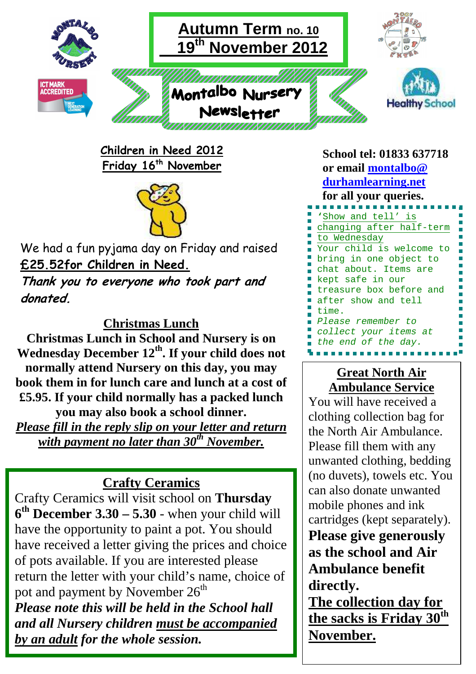

**Children in Need 2012 Friday 16th November** 



We had a fun pyjama day on Friday and raised **£25.52for Children in Need.**

**Thank you to everyone who took part and donated.** 

#### **Christmas Lunch**

**Christmas Lunch in School and Nursery is on Wednesday December 12th. If your child does not normally attend Nursery on this day, you may book them in for lunch care and lunch at a cost of £5.95. If your child normally has a packed lunch you may also book a school dinner.**  *Please fill in the reply slip on your letter and return with payment no later than 30th November.* 

# **Crafty Ceramics**

Crafty Ceramics will visit school on **Thursday**   $6<sup>th</sup>$  December  $3.30 - 5.30$  - when your child will have the opportunity to paint a pot. You should have received a letter giving the prices and choice of pots available. If you are interested please return the letter with your child's name, choice of pot and payment by November  $26^{\text{th}}$ *Please note this will be held in the School hall and all Nursery children must be accompanied by an adult for the whole session.* 

**School tel: 01833 637718 or email montalbo@ durhamlearning.net for all your queries. '**Show and tell' is changing after half-term to Wednesday Your child is welcome to bring in one object to chat about. Items are kept safe in our treasure box before and after show and tell time. Please remember to collect your items at the end of the day.

### **Great North Air Ambulance Service**

You will have received a clothing collection bag for the North Air Ambulance. Please fill them with any unwanted clothing, bedding (no duvets), towels etc. You can also donate unwanted mobile phones and ink cartridges (kept separately). **Please give generously as the school and Air Ambulance benefit directly.** 

**The collection day for the sacks is Friday 30th November.**